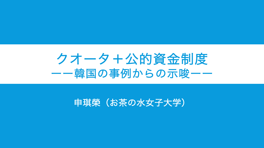# クオータ+公的資金制度 ーー韓国の事例からの示唆ーー

### 申琪榮(お茶の水女子大学)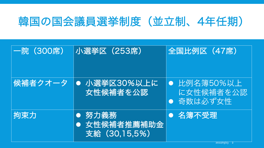## 韓国の国会議員選挙制度(並立制、4年任期)

| 一院(300席) | 小選挙区(253席)                               | 全国比例区 (47席)                            |
|----------|------------------------------------------|----------------------------------------|
| 候補者クオータ  | 小選挙区30%以上に<br> 女性候補者を公認                  | ● 比例名簿50%以上,<br>に女性候補者を公認<br>● 奇数は必ず女性 |
| 拘束力      | ● 努力義務<br>● 女性候補者推薦補助金<br> 支給 (30,15,5%) | 名簿不受理                                  |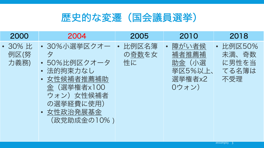

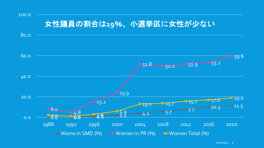#### $\frac{8.0}{6.8}$   $\frac{4.8}{6.8}$   $\frac{5.9}{2.2}$   $\frac{4.1}{4.1}$   $\frac{5.7}{5.7}$   $\frac{7.7}{10.3}$  11.5 15.2 23.9  $51.8$   $3.2$   $50.0$   $3.9$   $53.2$ 59.6 0.0 4.8<br>2.2 3.9 3.9 3.9 3.2  $13.0$  13.7 15.7 17.0 19.0 0.0 20.0 40.0 60.0 80.0 100.0 1988 1992 1996 2000 2004 2008 2012 2016 2020  $\rightarrow$  Wome in SMD (%)  $\rightarrow$  Women in PR (%)  $\rightarrow$  Women Total (%) 女性議員の割合は**19**%、小選挙区に女性が少ない

 $2022/03/13$  4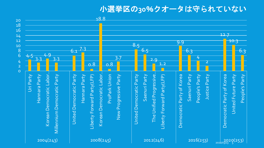### 小選挙区の**30**%クオータは守られていない

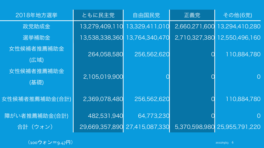| 2018年地方選挙          | ともに民主党         | 自由国民党                         | 正義党      | その他(6党)                      |
|--------------------|----------------|-------------------------------|----------|------------------------------|
| 政党助成金              | 13,279,409,110 | 13,329,411,010                |          | 2,660,271,600 13,294,410,280 |
| 選挙補助金              | 13,538,338,360 | 13,764,340,470                |          | 2,710,327,380 12,550,496,160 |
| 女性候補者推薦補助金<br>(広域) | 264,058,580    | 256,562,620                   | $\rm{O}$ | 110,884,780                  |
| 女性候補者推薦補助金<br>(基礎) | 2,105,019,900  |                               |          | $\Omega$                     |
| 女性候補者推薦補助金(合計)     | 2,369,078,480  | 256,562,620                   |          | 110,884,780                  |
| 障がい者推薦補助金(合計)      | 482,531,940    | 64,773,230                    |          | $\overline{O}$               |
| 合計(ウォン)            |                | 29,669,357,890 27,415,087,330 |          | 5,370,598,980 25,955,791,220 |

(100ウォン=9.47円) 2022/03/13 6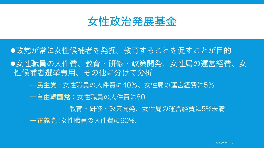

## l政党が常に女性候補者を発掘、教育することを促すことが目的 l女性職員の人件費、教育・研修・政策開発、女性局の運営経費、女 性候補者選挙費用、その他に分けて分析 ー民主党 : 女性職員の人件費に40%、女性局の運営経費に5% ー自由韓国党:女性職員の人件費に80.

教育・研修・政策開発、女性局の運営経費に5%未満

ー正義党 :女性職員の人件費に60%.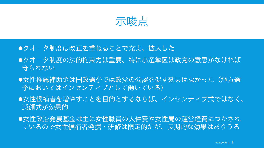

- ●クオータ制度は改正を重ねることで充実、拡大した
- ●クオータ制度の法的拘束力は重要、特に小選挙区は政党の意思がなければ 守られない
- ●女性推薦補助金は国政選挙では政党の公認を促す効果はなかった(地方選 挙においてはインセンティブとして働いている)
- ●女性候補者を増やすことを目的とするならば、インセンティブ式ではなく、 減額式が効果的
- ●女性政治発展基金は主に女性職員の人件費や女性局の運営経費につかされ ているので女性候補者発掘・研修は限定的だが、長期的な効果はありうる